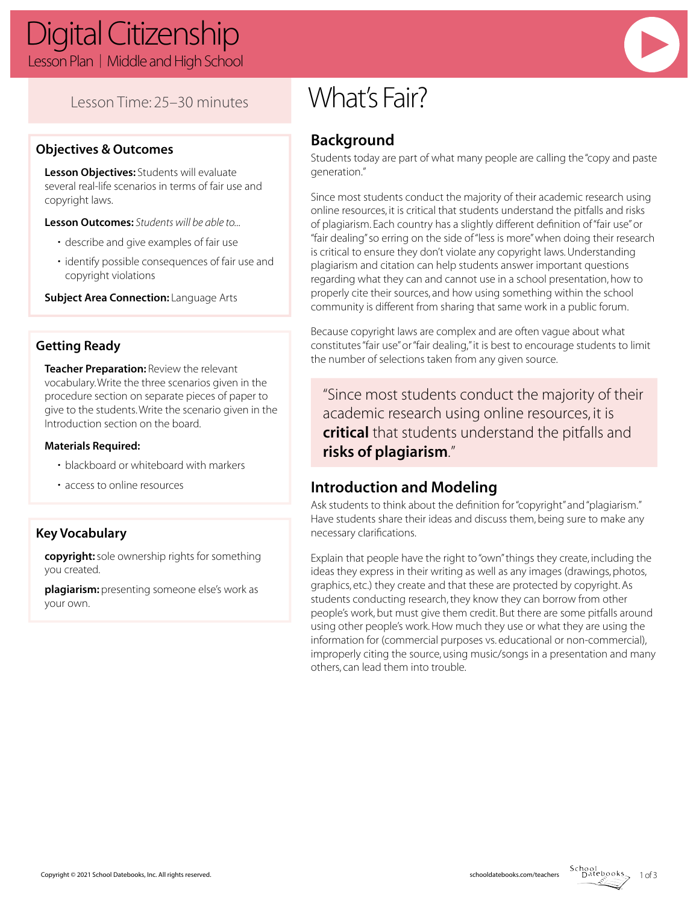# Lesson Time: 25–30 minutes

### **Objectives & Outcomes**

**Lesson Objectives:** Students will evaluate several real-life scenarios in terms of fair use and copyright laws.

**Lesson Outcomes:** *Students will be able to...*

- describe and give examples of fair use
- identify possible consequences of fair use and copyright violations

**Subject Area Connection:** Language Arts

## **Getting Ready**

**Teacher Preparation:** Review the relevant vocabulary. Write the three scenarios given in the procedure section on separate pieces of paper to give to the students. Write the scenario given in the Introduction section on the board.

### **Materials Required:**

- blackboard or whiteboard with markers
- access to online resources

# **Key Vocabulary**

**copyright:** sole ownership rights for something you created.

**plagiarism:** presenting someone else's work as your own.

# What's Fair?

# **Background**

Students today are part of what many people are calling the "copy and paste generation."

Since most students conduct the majority of their academic research using online resources, it is critical that students understand the pitfalls and risks of plagiarism. Each country has a slightly different definition of "fair use" or "fair dealing" so erring on the side of "less is more" when doing their research is critical to ensure they don't violate any copyright laws. Understanding plagiarism and citation can help students answer important questions regarding what they can and cannot use in a school presentation, how to properly cite their sources, and how using something within the school community is different from sharing that same work in a public forum.

Because copyright laws are complex and are often vague about what constitutes "fair use" or "fair dealing," it is best to encourage students to limit the number of selections taken from any given source.

"Since most students conduct the majority of their academic research using online resources, it is **critical** that students understand the pitfalls and **risks of plagiarism**."

# **Introduction and Modeling**

Ask students to think about the definition for "copyright" and "plagiarism." Have students share their ideas and discuss them, being sure to make any necessary clarifications.

Explain that people have the right to "own" things they create, including the ideas they express in their writing as well as any images (drawings, photos, graphics, etc.) they create and that these are protected by copyright. As students conducting research, they know they can borrow from other people's work, but must give them credit. But there are some pitfalls around using other people's work. How much they use or what they are using the information for (commercial purposes vs. educational or non-commercial), improperly citing the source, using music/songs in a presentation and many others, can lead them into trouble.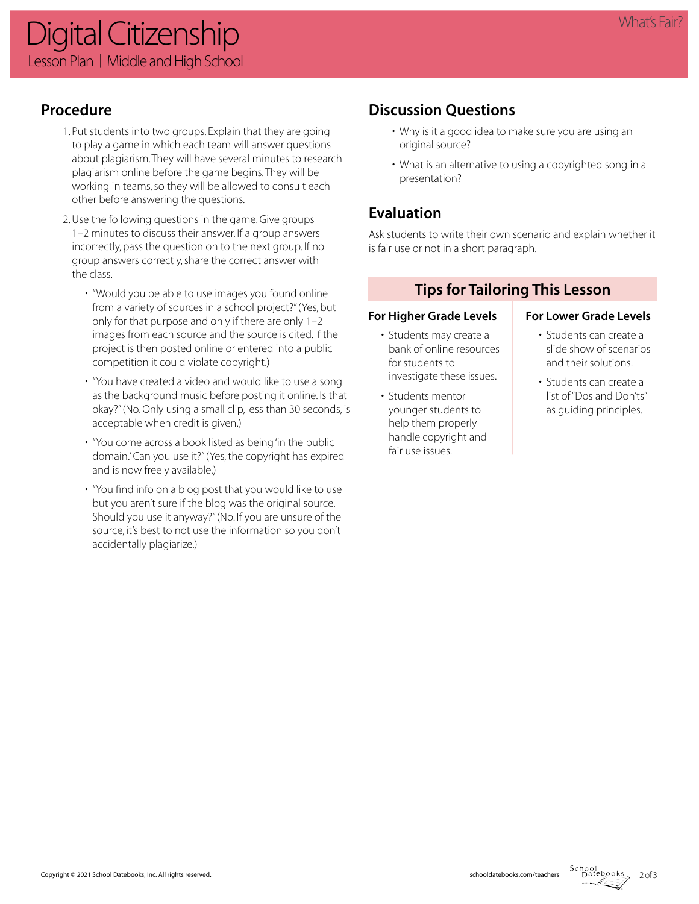# **Procedure**

- 1. Put students into two groups. Explain that they are going to play a game in which each team will answer questions about plagiarism. They will have several minutes to research plagiarism online before the game begins. They will be working in teams, so they will be allowed to consult each other before answering the questions.
- 2. Use the following questions in the game. Give groups 1–2 minutes to discuss their answer. If a group answers incorrectly, pass the question on to the next group. If no group answers correctly, share the correct answer with the class.
	- "Would you be able to use images you found online from a variety of sources in a school project?" (Yes, but only for that purpose and only if there are only 1–2 images from each source and the source is cited. If the project is then posted online or entered into a public competition it could violate copyright.)
	- "You have created a video and would like to use a song as the background music before posting it online. Is that okay?" (No. Only using a small clip, less than 30 seconds, is acceptable when credit is given.)
	- "You come across a book listed as being 'in the public domain.' Can you use it?" (Yes, the copyright has expired and is now freely available.)
	- "You find info on a blog post that you would like to use but you aren't sure if the blog was the original source. Should you use it anyway?" (No. If you are unsure of the source, it's best to not use the information so you don't accidentally plagiarize.)

# **Discussion Questions**

- Why is it a good idea to make sure you are using an original source?
- What is an alternative to using a copyrighted song in a presentation?

# **Evaluation**

Ask students to write their own scenario and explain whether it is fair use or not in a short paragraph.

# **Tips for Tailoring This Lesson**

### For Higher Grade Levels **For Lower Grade Levels**

- Students may create a bank of online resources for students to investigate these issues.
- Students mentor younger students to help them properly handle copyright and fair use issues.

- Students can create a slide show of scenarios and their solutions.
- Students can create a list of "Dos and Don'ts" as guiding principles.

 $2 of 3$